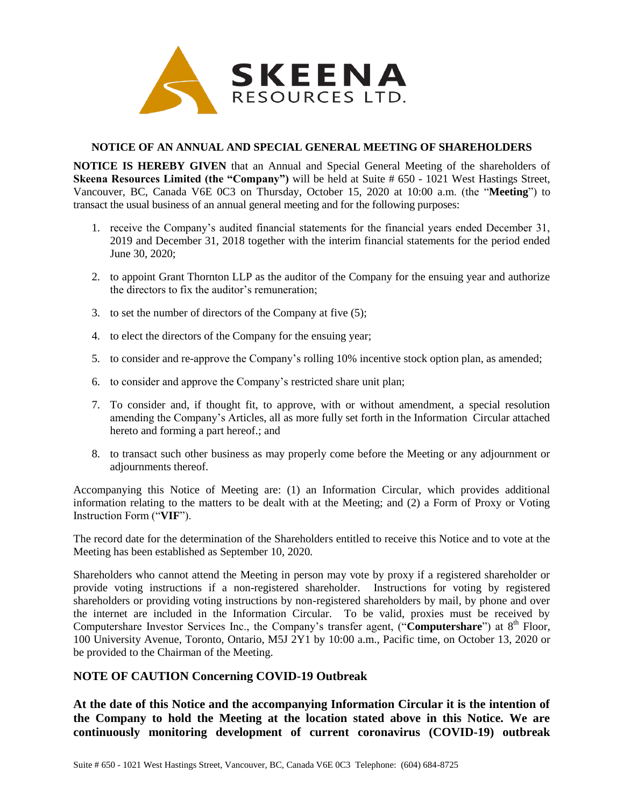

## **NOTICE OF AN ANNUAL AND SPECIAL GENERAL MEETING OF SHAREHOLDERS**

**NOTICE IS HEREBY GIVEN** that an Annual and Special General Meeting of the shareholders of **Skeena Resources Limited (the "Company")** will be held at Suite # 650 - 1021 West Hastings Street, Vancouver, BC, Canada V6E 0C3 on Thursday, October 15, 2020 at 10:00 a.m. (the "**Meeting**") to transact the usual business of an annual general meeting and for the following purposes:

- 1. receive the Company's audited financial statements for the financial years ended December 31, 2019 and December 31, 2018 together with the interim financial statements for the period ended June 30, 2020;
- 2. to appoint Grant Thornton LLP as the auditor of the Company for the ensuing year and authorize the directors to fix the auditor's remuneration;
- 3. to set the number of directors of the Company at five (5);
- 4. to elect the directors of the Company for the ensuing year;
- 5. to consider and re-approve the Company's rolling 10% incentive stock option plan, as amended;
- 6. to consider and approve the Company's restricted share unit plan;
- 7. To consider and, if thought fit, to approve, with or without amendment, a special resolution amending the Company's Articles, all as more fully set forth in the Information Circular attached hereto and forming a part hereof.; and
- 8. to transact such other business as may properly come before the Meeting or any adjournment or adjournments thereof.

Accompanying this Notice of Meeting are: (1) an Information Circular, which provides additional information relating to the matters to be dealt with at the Meeting; and (2) a Form of Proxy or Voting Instruction Form ("**VIF**").

The record date for the determination of the Shareholders entitled to receive this Notice and to vote at the Meeting has been established as September 10, 2020.

Shareholders who cannot attend the Meeting in person may vote by proxy if a registered shareholder or provide voting instructions if a non-registered shareholder. Instructions for voting by registered shareholders or providing voting instructions by non-registered shareholders by mail, by phone and over the internet are included in the Information Circular. To be valid, proxies must be received by Computershare Investor Services Inc., the Company's transfer agent, ("Computershare") at 8<sup>th</sup> Floor, 100 University Avenue, Toronto, Ontario, M5J 2Y1 by 10:00 a.m., Pacific time, on October 13, 2020 or be provided to the Chairman of the Meeting.

## **NOTE OF CAUTION Concerning COVID-19 Outbreak**

**At the date of this Notice and the accompanying Information Circular it is the intention of the Company to hold the Meeting at the location stated above in this Notice. We are continuously monitoring development of current coronavirus (COVID-19) outbreak**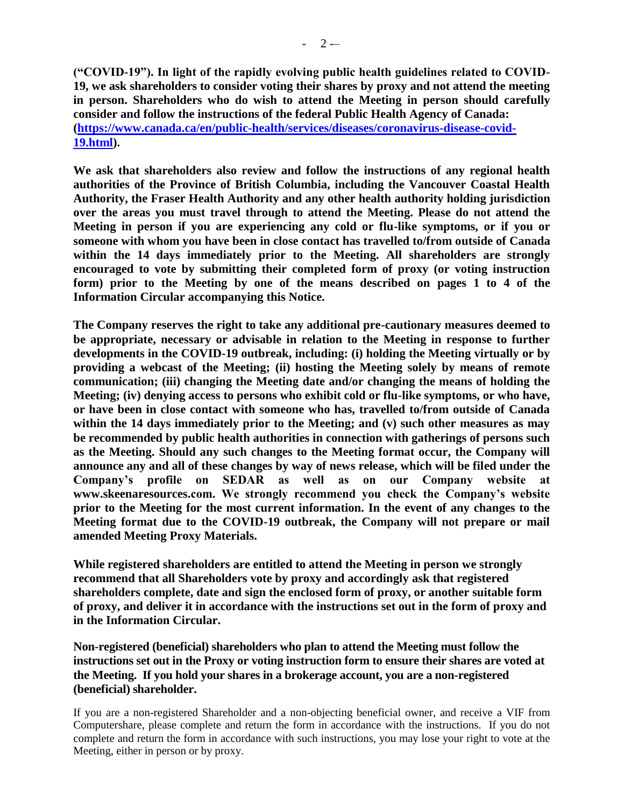**("COVID-19"). In light of the rapidly evolving public health guidelines related to COVID-19, we ask shareholders to consider voting their shares by proxy and not attend the meeting in person. Shareholders who do wish to attend the Meeting in person should carefully consider and follow the instructions of the federal Public Health Agency of Canada: [\(https://www.canada.ca/en/public-health/services/diseases/coronavirus-disease-covid-](https://www.canada.ca/en/public-health/services/diseases/coronavirus-disease-covid-19.html)[19.html\)](https://www.canada.ca/en/public-health/services/diseases/coronavirus-disease-covid-19.html).**

**We ask that shareholders also review and follow the instructions of any regional health authorities of the Province of British Columbia, including the Vancouver Coastal Health Authority, the Fraser Health Authority and any other health authority holding jurisdiction over the areas you must travel through to attend the Meeting. Please do not attend the Meeting in person if you are experiencing any cold or flu-like symptoms, or if you or someone with whom you have been in close contact has travelled to/from outside of Canada within the 14 days immediately prior to the Meeting. All shareholders are strongly encouraged to vote by submitting their completed form of proxy (or voting instruction form) prior to the Meeting by one of the means described on pages 1 to 4 of the Information Circular accompanying this Notice.** 

**The Company reserves the right to take any additional pre-cautionary measures deemed to be appropriate, necessary or advisable in relation to the Meeting in response to further developments in the COVID-19 outbreak, including: (i) holding the Meeting virtually or by providing a webcast of the Meeting; (ii) hosting the Meeting solely by means of remote communication; (iii) changing the Meeting date and/or changing the means of holding the Meeting; (iv) denying access to persons who exhibit cold or flu-like symptoms, or who have, or have been in close contact with someone who has, travelled to/from outside of Canada within the 14 days immediately prior to the Meeting; and (v) such other measures as may be recommended by public health authorities in connection with gatherings of persons such as the Meeting. Should any such changes to the Meeting format occur, the Company will announce any and all of these changes by way of news release, which will be filed under the Company's profile on SEDAR as well as on our Company website at www.skeenaresources.com. We strongly recommend you check the Company's website prior to the Meeting for the most current information. In the event of any changes to the Meeting format due to the COVID-19 outbreak, the Company will not prepare or mail amended Meeting Proxy Materials.** 

**While registered shareholders are entitled to attend the Meeting in person we strongly recommend that all Shareholders vote by proxy and accordingly ask that registered shareholders complete, date and sign the enclosed form of proxy, or another suitable form of proxy, and deliver it in accordance with the instructions set out in the form of proxy and in the Information Circular.**

**Non-registered (beneficial) shareholders who plan to attend the Meeting must follow the instructions set out in the Proxy or voting instruction form to ensure their shares are voted at the Meeting. If you hold your shares in a brokerage account, you are a non-registered (beneficial) shareholder.** 

If you are a non-registered Shareholder and a non-objecting beneficial owner, and receive a VIF from Computershare, please complete and return the form in accordance with the instructions. If you do not complete and return the form in accordance with such instructions, you may lose your right to vote at the Meeting, either in person or by proxy.